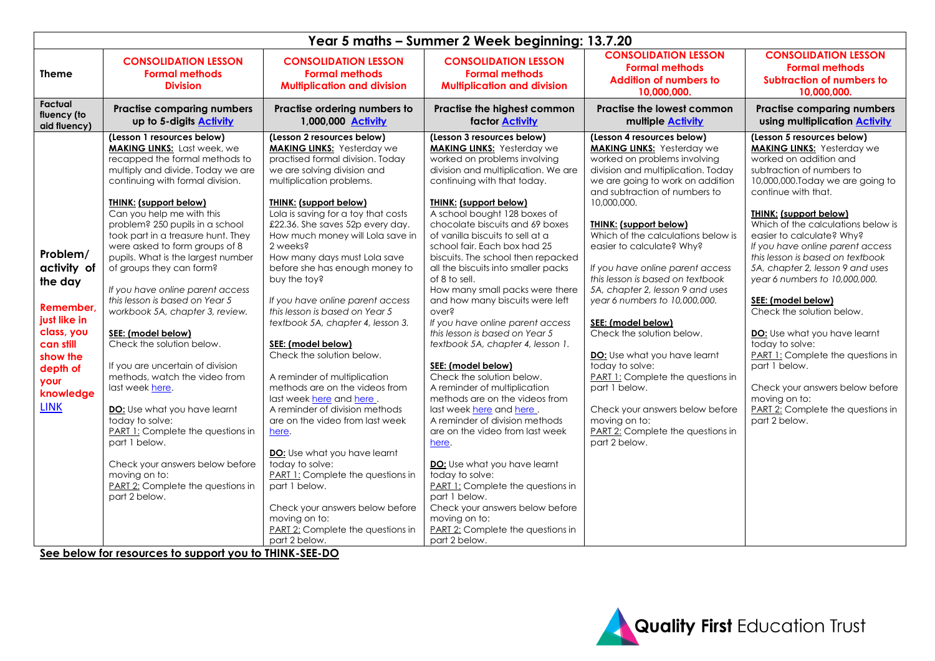| Year 5 maths - Summer 2 Week beginning: 13.7.20                                                                                                                                           |                                                                                                                                                                                                                                                                                                                                                                                                                                                                                                                                                                                                                                                                                                                                                                                                                                                                                                                                           |                                                                                                                                                                                                                                                                                                                                                                                                                                                                                                                                                                                                                                                                                                                                                                                                                                                                                                                                                                                  |                                                                                                                                                                                                                                                                                                                                                                                                                                                                                                                                                                                                                                                                                                                                                                                                                                                                                                                                                                                                                                                                                                       |                                                                                                                                                                                                                                                                                                                                                                                                                                                                                                                                                                                                                                                                                                                                                                |                                                                                                                                                                                                                                                                                                                                                                                                                                                                                                                                                                                                                                                                                                                         |  |  |
|-------------------------------------------------------------------------------------------------------------------------------------------------------------------------------------------|-------------------------------------------------------------------------------------------------------------------------------------------------------------------------------------------------------------------------------------------------------------------------------------------------------------------------------------------------------------------------------------------------------------------------------------------------------------------------------------------------------------------------------------------------------------------------------------------------------------------------------------------------------------------------------------------------------------------------------------------------------------------------------------------------------------------------------------------------------------------------------------------------------------------------------------------|----------------------------------------------------------------------------------------------------------------------------------------------------------------------------------------------------------------------------------------------------------------------------------------------------------------------------------------------------------------------------------------------------------------------------------------------------------------------------------------------------------------------------------------------------------------------------------------------------------------------------------------------------------------------------------------------------------------------------------------------------------------------------------------------------------------------------------------------------------------------------------------------------------------------------------------------------------------------------------|-------------------------------------------------------------------------------------------------------------------------------------------------------------------------------------------------------------------------------------------------------------------------------------------------------------------------------------------------------------------------------------------------------------------------------------------------------------------------------------------------------------------------------------------------------------------------------------------------------------------------------------------------------------------------------------------------------------------------------------------------------------------------------------------------------------------------------------------------------------------------------------------------------------------------------------------------------------------------------------------------------------------------------------------------------------------------------------------------------|----------------------------------------------------------------------------------------------------------------------------------------------------------------------------------------------------------------------------------------------------------------------------------------------------------------------------------------------------------------------------------------------------------------------------------------------------------------------------------------------------------------------------------------------------------------------------------------------------------------------------------------------------------------------------------------------------------------------------------------------------------------|-------------------------------------------------------------------------------------------------------------------------------------------------------------------------------------------------------------------------------------------------------------------------------------------------------------------------------------------------------------------------------------------------------------------------------------------------------------------------------------------------------------------------------------------------------------------------------------------------------------------------------------------------------------------------------------------------------------------------|--|--|
| Theme                                                                                                                                                                                     | <b>CONSOLIDATION LESSON</b><br><b>Formal methods</b><br><b>Division</b>                                                                                                                                                                                                                                                                                                                                                                                                                                                                                                                                                                                                                                                                                                                                                                                                                                                                   | <b>CONSOLIDATION LESSON</b><br><b>Formal methods</b><br><b>Multiplication and division</b>                                                                                                                                                                                                                                                                                                                                                                                                                                                                                                                                                                                                                                                                                                                                                                                                                                                                                       | <b>CONSOLIDATION LESSON</b><br><b>Formal methods</b><br><b>Multiplication and division</b>                                                                                                                                                                                                                                                                                                                                                                                                                                                                                                                                                                                                                                                                                                                                                                                                                                                                                                                                                                                                            | <b>CONSOLIDATION LESSON</b><br><b>Formal methods</b><br><b>Addition of numbers to</b><br>10.000.000.                                                                                                                                                                                                                                                                                                                                                                                                                                                                                                                                                                                                                                                           | <b>CONSOLIDATION LESSON</b><br><b>Formal methods</b><br><b>Subtraction of numbers to</b><br>10.000.000.                                                                                                                                                                                                                                                                                                                                                                                                                                                                                                                                                                                                                 |  |  |
| Factual<br>fluency (to<br>aid fluency)                                                                                                                                                    | <b>Practise comparing numbers</b><br>up to 5-digits <b>Activity</b>                                                                                                                                                                                                                                                                                                                                                                                                                                                                                                                                                                                                                                                                                                                                                                                                                                                                       | Practise ordering numbers to<br>1,000,000 Activity                                                                                                                                                                                                                                                                                                                                                                                                                                                                                                                                                                                                                                                                                                                                                                                                                                                                                                                               | Practise the highest common<br><b>factor Activity</b>                                                                                                                                                                                                                                                                                                                                                                                                                                                                                                                                                                                                                                                                                                                                                                                                                                                                                                                                                                                                                                                 | <b>Practise the lowest common</b><br>multiple <b>Activity</b>                                                                                                                                                                                                                                                                                                                                                                                                                                                                                                                                                                                                                                                                                                  | <b>Practise comparing numbers</b><br>using multiplication <b>Activity</b>                                                                                                                                                                                                                                                                                                                                                                                                                                                                                                                                                                                                                                               |  |  |
| Problem/<br>activity of<br>the day<br><b>Remember</b><br>just like in<br>class, you<br>can still<br>show the<br>depth of<br>your<br>knowledge<br><b>LINK</b><br>Contrato de la confidence | (Lesson 1 resources below)<br><b>MAKING LINKS:</b> Last week, we<br>recapped the formal methods to<br>multiply and divide. Today we are<br>continuing with formal division.<br><b>THINK: (support below)</b><br>Can you help me with this<br>problem? 250 pupils in a school<br>took part in a treasure hunt. They<br>were asked to form groups of 8<br>pupils. What is the largest number<br>of groups they can form?<br>If you have online parent access<br>this lesson is based on Year 5<br>workbook 5A, chapter 3, review.<br>SEE: (model below)<br>Check the solution below.<br>If you are uncertain of division<br>methods, watch the video from<br>last week here.<br>DO: Use what you have learnt<br>today to solve:<br><b>PART 1:</b> Complete the questions in<br>part 1 below.<br>Check your answers below before<br>moving on to:<br>PART 2: Complete the questions in<br>part 2 below.<br>$\sim$ to compact the HIBB CFF BO | (Lesson 2 resources below)<br><b>MAKING LINKS:</b> Yesterday we<br>practised formal division. Today<br>we are solving division and<br>multiplication problems.<br><b>THINK: (support below)</b><br>Lola is saving for a toy that costs<br>£22.36. She saves 52p every day.<br>How much money will Lola save in<br>2 weeks?<br>How many days must Lola save<br>before she has enough money to<br>buy the toy?<br>If you have online parent access<br>this lesson is based on Year 5<br>textbook 5A, chapter 4, lesson 3.<br>SEE: (model below)<br>Check the solution below.<br>A reminder of multiplication<br>methods are on the videos from<br>last week here and here.<br>A reminder of division methods<br>are on the video from last week<br>here.<br>DO: Use what you have learnt<br>today to solve:<br><b>PART 1:</b> Complete the questions in<br>part 1 below.<br>Check your answers below before<br>moving on to:<br>PART 2: Complete the questions in<br>part 2 below. | (Lesson 3 resources below)<br><b>MAKING LINKS:</b> Yesterday we<br>worked on problems involving<br>division and multiplication. We are<br>continuing with that today.<br><b>THINK: (support below)</b><br>A school bought 128 boxes of<br>chocolate biscuits and 69 boxes<br>of vanilla biscuits to sell at a<br>school fair. Each box had 25<br>biscuits. The school then repacked<br>all the biscuits into smaller packs<br>of 8 to sell.<br>How many small packs were there<br>and how many biscuits were left<br>over?<br>If you have online parent access<br>this lesson is based on Year 5<br>textbook 5A, chapter 4, lesson 1.<br>SEE: (model below)<br>Check the solution below.<br>A reminder of multiplication<br>methods are on the videos from<br>last week here and here.<br>A reminder of division methods<br>are on the video from last week<br>here.<br><b>DO:</b> Use what you have learnt<br>today to solve:<br><b>PART 1:</b> Complete the questions in<br>part 1 below.<br>Check your answers below before<br>moving on to:<br>PART 2: Complete the questions in<br>part 2 below. | (Lesson 4 resources below)<br><b>MAKING LINKS:</b> Yesterday we<br>worked on problems involving<br>division and multiplication. Today<br>we are going to work on addition<br>and subtraction of numbers to<br>10,000,000.<br><b>THINK: (support below)</b><br>Which of the calculations below is<br>easier to calculate? Why?<br>If you have online parent access<br>this lesson is based on textbook<br>5A, chapter 2, lesson 9 and uses<br>year 6 numbers to 10,000,000.<br>SEE: (model below)<br>Check the solution below.<br><b>DO:</b> Use what you have learnt<br>today to solve:<br><b>PART 1:</b> Complete the questions in<br>part 1 below.<br>Check your answers below before<br>moving on to:<br>PART 2: Complete the questions in<br>part 2 below. | (Lesson 5 resources below)<br><b>MAKING LINKS:</b> Yesterday we<br>worked on addition and<br>subtraction of numbers to<br>10,000,000. Today we are going to<br>continue with that.<br><b>THINK: (support below)</b><br>Which of the calculations below is<br>easier to calculate? Why?<br>If you have online parent access<br>this lesson is based on textbook<br>5A, chapter 2, lesson 9 and uses<br>year 6 numbers to 10,000,000.<br>SEE: (model below)<br>Check the solution below.<br><b>DO:</b> Use what you have learnt<br>today to solve:<br><b>PART 1:</b> Complete the questions in<br>part 1 below.<br>Check your answers below before<br>moving on to:<br>PART 2: Complete the questions in<br>part 2 below. |  |  |

**See below for resources to support you to THINK-SEE-DO**

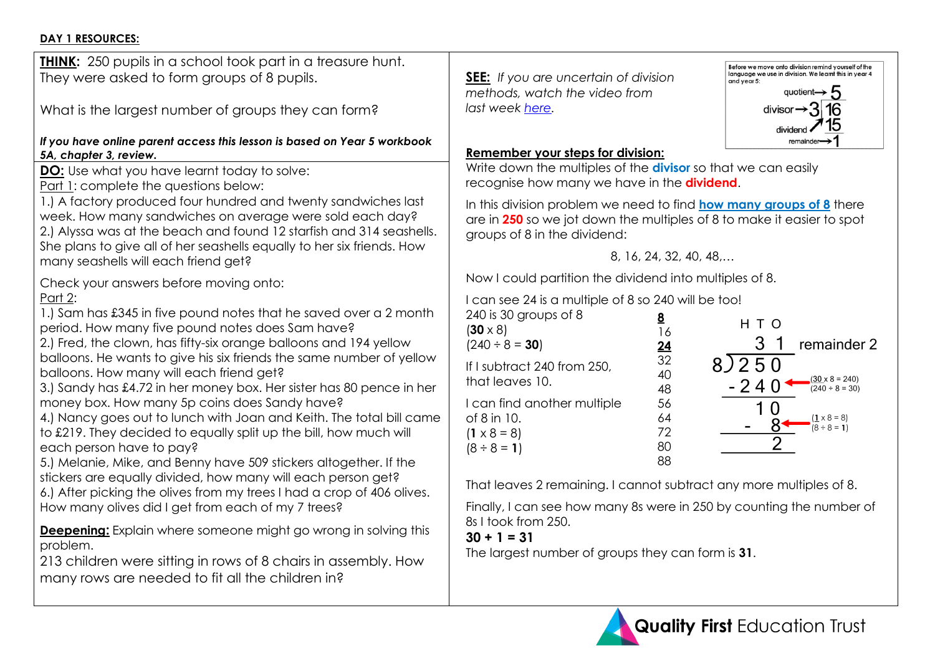### **DAY 1 RESOURCES:**

| <b>THINK:</b> 250 pupils in a school took part in a treasure hunt.<br>They were asked to form groups of 8 pupils.<br>What is the largest number of groups they can form?<br>If you have online parent access this lesson is based on Year 5 workbook                                                                                                                                                                                                                                                                                                                                                                                                                                                                                                                                                                                                                                                                                                                                                                                                                                                                                                                                                                                                                                                                                                                                                                                                                                                                                                                                                             | Before we move onto division remind yourself of the<br>language we use in division. We leamt this in year 4<br><b>SEE:</b> If you are uncertain of division<br>and year 5:<br>quotient $\rightarrow$ 5<br>methods, watch the video from<br>last week here.<br>divisor $\rightarrow$ 3 16<br>remainder                                                                                                                                                                                                                                                                                                                                                                                                                                                                                                                                                                                                                                                                                                                                                                                                                                                                                     |
|------------------------------------------------------------------------------------------------------------------------------------------------------------------------------------------------------------------------------------------------------------------------------------------------------------------------------------------------------------------------------------------------------------------------------------------------------------------------------------------------------------------------------------------------------------------------------------------------------------------------------------------------------------------------------------------------------------------------------------------------------------------------------------------------------------------------------------------------------------------------------------------------------------------------------------------------------------------------------------------------------------------------------------------------------------------------------------------------------------------------------------------------------------------------------------------------------------------------------------------------------------------------------------------------------------------------------------------------------------------------------------------------------------------------------------------------------------------------------------------------------------------------------------------------------------------------------------------------------------------|-------------------------------------------------------------------------------------------------------------------------------------------------------------------------------------------------------------------------------------------------------------------------------------------------------------------------------------------------------------------------------------------------------------------------------------------------------------------------------------------------------------------------------------------------------------------------------------------------------------------------------------------------------------------------------------------------------------------------------------------------------------------------------------------------------------------------------------------------------------------------------------------------------------------------------------------------------------------------------------------------------------------------------------------------------------------------------------------------------------------------------------------------------------------------------------------|
| 5A, chapter 3, review.<br><b>DO:</b> Use what you have learnt today to solve:<br><u>Part 1</u> : complete the questions below:<br>1.) A factory produced four hundred and twenty sandwiches last<br>week. How many sandwiches on average were sold each day?<br>2.) Alyssa was at the beach and found 12 starfish and 314 seashells.<br>She plans to give all of her seashells equally to her six friends. How<br>many seashells will each friend get?<br>Check your answers before moving onto:<br>Part 2:<br>1.) Sam has £345 in five pound notes that he saved over a 2 month<br>period. How many five pound notes does Sam have?<br>2.) Fred, the clown, has fifty-six orange balloons and 194 yellow<br>balloons. He wants to give his six friends the same number of yellow<br>balloons. How many will each friend get?<br>3.) Sandy has £4.72 in her money box. Her sister has 80 pence in her<br>money box. How many 5p coins does Sandy have?<br>4.) Nancy goes out to lunch with Joan and Keith. The total bill came<br>to £219. They decided to equally split up the bill, how much will<br>each person have to pay?<br>5.) Melanie, Mike, and Benny have 509 stickers altogether. If the<br>stickers are equally divided, how many will each person get?<br>6.) After picking the olives from my trees I had a crop of 406 olives.<br>How many olives did I get from each of my 7 trees?<br><b>Deepening:</b> Explain where someone might go wrong in solving this<br>problem.<br>213 children were sitting in rows of 8 chairs in assembly. How<br>many rows are needed to fit all the children in? | <b>Remember your steps for division:</b><br>Write down the multiples of the divisor so that we can easily<br>recognise how many we have in the <b>dividend</b> .<br>In this division problem we need to find <b>how many groups of 8</b> there<br>are in 250 so we jot down the multiples of 8 to make it easier to spot<br>groups of 8 in the dividend:<br>8, 16, 24, 32, 40, 48,<br>Now I could partition the dividend into multiples of 8.<br>I can see 24 is a multiple of 8 so 240 will be too!<br>240 is 30 groups of 8<br><u>8</u><br>H T O<br>$(30 \times 8)$<br>16<br>3<br>remainder 2<br>$(240 \div 8 = 30)$<br>$\frac{24}{32}$<br>8)250<br>If I subtract 240 from 250,<br>40<br>$\frac{(30 \times 8 = 240)}{(240 \div 8 = 30)}$<br>that leaves 10.<br>$-240$<br>48<br>I can find another multiple<br>56<br>64<br>of 8 in 10.<br>$(1 \times 8 = 8)$<br>$(8 \div 8 = 1)$<br>72<br>$(1 \times 8 = 8)$<br>80<br>$(8 \div 8 = 1)$<br>88<br>That leaves 2 remaining. I cannot subtract any more multiples of 8.<br>Finally, I can see how many 8s were in 250 by counting the number of<br>8s I took from 250.<br>$30 + 1 = 31$<br>The largest number of groups they can form is 31. |
|                                                                                                                                                                                                                                                                                                                                                                                                                                                                                                                                                                                                                                                                                                                                                                                                                                                                                                                                                                                                                                                                                                                                                                                                                                                                                                                                                                                                                                                                                                                                                                                                                  | <b>Quality First Education Trust</b>                                                                                                                                                                                                                                                                                                                                                                                                                                                                                                                                                                                                                                                                                                                                                                                                                                                                                                                                                                                                                                                                                                                                                      |

e number of

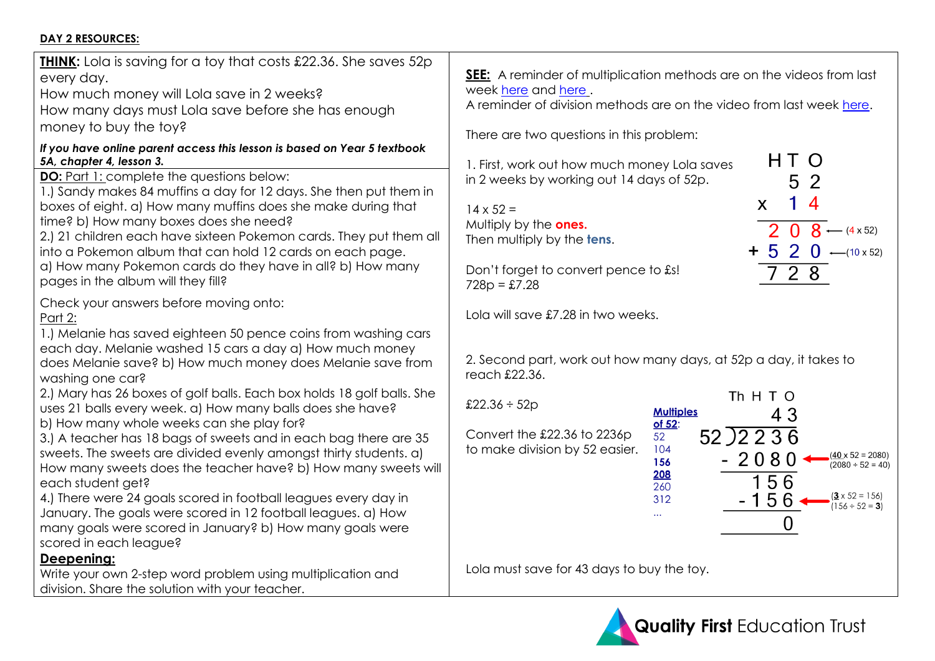## **DAY 2 RESOURCES:**

| <b>THINK:</b> Lola is saving for a toy that costs £22.36. She saves 52p<br>every day.<br>How much money will Lola save in 2 weeks?<br>How many days must Lola save before she has enough<br>money to buy the toy?            | SEE: A rem<br>week here<br>A reminder |
|------------------------------------------------------------------------------------------------------------------------------------------------------------------------------------------------------------------------------|---------------------------------------|
| If you have online parent access this lesson is based on Year 5 textbook<br>5A, chapter 4, lesson 3.                                                                                                                         | There are t<br>1. First, worl         |
| DO: Part 1: complete the questions below:<br>1.) Sandy makes 84 muffins a day for 12 days. She then put them in<br>boxes of eight. a) How many muffins does she make during that                                             | in 2 weeks<br>$14 \times 52 =$        |
| time? b) How many boxes does she need?<br>2.) 21 children each have sixteen Pokemon cards. They put them all<br>into a Pokemon album that can hold 12 cards on each page.                                                    | Multiply by<br>Then multip            |
| a) How many Pokemon cards do they have in all? b) How many<br>pages in the album will they fill?                                                                                                                             | Don't forge<br>$728p = £7.2$          |
| Check your answers before moving onto:<br><u>Part 2:</u><br>1.) Melanie has saved eighteen 50 pence coins from washing cars                                                                                                  | Lola will say                         |
| each day. Melanie washed 15 cars a day a) How much money<br>does Melanie save? b) How much money does Melanie save from<br>washing one car?                                                                                  | 2. Second<br>reach £22.               |
| 2.) Mary has 26 boxes of golf balls. Each box holds 18 golf balls. She<br>uses 21 balls every week. a) How many balls does she have?<br>b) How many whole weeks can she play for?                                            | £22.36 ÷ 52                           |
| 3.) A teacher has 18 bags of sweets and in each bag there are 35<br>sweets. The sweets are divided evenly amongst thirty students. a)<br>How many sweets does the teacher have? b) How many sweets will<br>each student get? | Convert the<br>to make di             |
| 4.) There were 24 goals scored in football leagues every day in<br>January. The goals were scored in 12 football leagues. a) How<br>many goals were scored in January? b) How many goals were<br>scored in each league?      |                                       |
| Deepening:<br>Write your own 2-step word problem using multiplication and<br>division. Share the solution with your teacher.                                                                                                 | Lola must s                           |

**SEE:** A reminder of multiplication methods are on the videos from last and [here](https://vimeo.com/433792558/5bdd26d050).

of division methods are on the video from last week [here.](https://vimeo.com/433572835/939d4f6861)

wo questions in this problem:

k out how much money Lola saves by working out 14 days of 52p.

the **ones**. ply by the **tens**.

et to convert pence to £s! 728p = £7.28

ve £7.28 in two weeks.

part, work out how many days, at 52p a day, it takes to  $36.$ 

e £22.36 to 2236 p ivision by 52 easier.



ave for 43 days to buy the toy.



2 5  $\overline{4}$  $\mathsf{X}$  $\overline{2}$  $0.8$  $\leftarrow$  (4 x 52)  $5 \t2 \t0 \t-(10 \times 52)$  $728$ 

HT O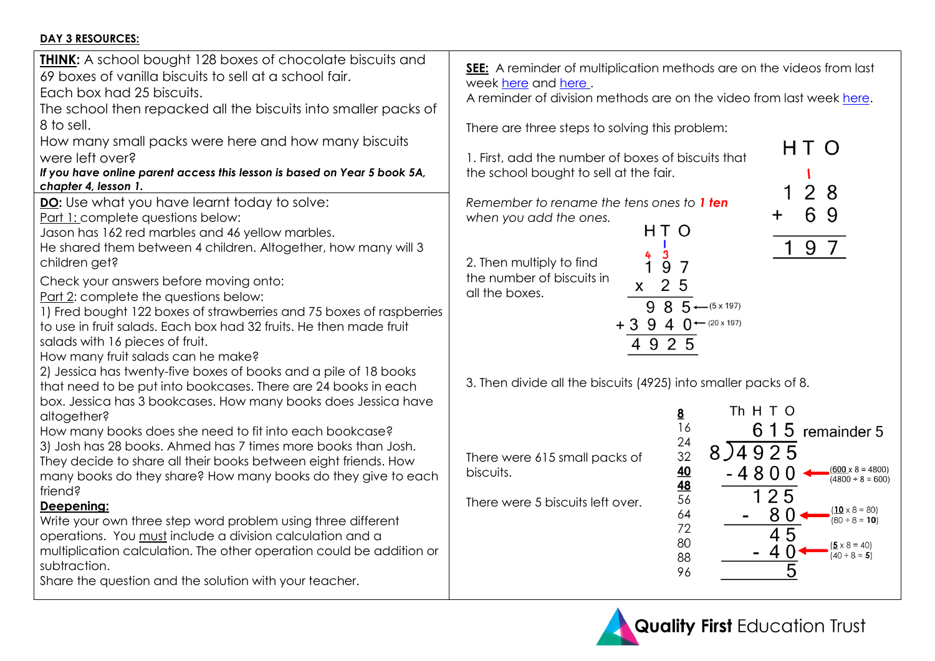## **DAY 3 RESOURCES:**

| <b>THINK:</b> A school bought 128 boxes of chocolate biscuits and<br>69 boxes of vanilla biscuits to sell at a school fair.<br>Each box had 25 biscuits.<br>The school then repacked all the biscuits into smaller packs of<br>8 to sell.<br>How many small packs were here and how many biscuits<br>were left over?<br>If you have online parent access this lesson is based on Year 5 book 5A,<br>chapter 4, lesson 1.<br>DO: Use what you have learnt today to solve:<br>Part 1: complete questions below:<br>Jason has 162 red marbles and 46 yellow marbles.<br>He shared them between 4 children. Altogether, how many will 3<br>children get?<br>Check your answers before moving onto:<br>Part 2: complete the questions below:<br>1) Fred bought 122 boxes of strawberries and 75 boxes of raspberries<br>to use in fruit salads. Each box had 32 fruits. He then made fruit<br>salads with 16 pieces of fruit.<br>How many fruit salads can he make?<br>2) Jessica has twenty-five boxes of books and a pile of 18 books<br>that need to be put into bookcases. There are 24 books in each<br>box. Jessica has 3 bookcases. How many books does Jessica have<br>altogether?<br>How many books does she need to fit into each bookcase?<br>3) Josh has 28 books. Ahmed has 7 times more books than Josh.<br>They decide to share all their books between eight friends. How<br>many books do they share? How many books do they give to each<br>friend?<br>Deepening:<br>Write your own three step word problem using three different<br>operations. You must include a division calculation and a<br>multiplication calculation. The other operation could be addition or<br>subtraction. | SEE: A reminder of multiplication methods are on the videos from last<br>week here and here.<br>A reminder of division methods are on the video from last week here.<br>There are three steps to solving this problem:<br>HT O<br>1. First, add the number of boxes of biscuits that<br>the school bought to sell at the fair.<br>8<br>Remember to rename the tens ones to 1 ten<br>6<br>9<br>+<br>when you add the ones.<br>HT O<br>9<br>4<br>2. Then multiply to find<br>9<br>7<br>the number of biscuits in<br>2<br>5<br>X<br>all the boxes.<br>$5 - (5 \times 197)$<br>8<br>9<br>$+3940+20\times197$<br>4 9 2 5<br>3. Then divide all the biscuits (4925) into smaller packs of 8.<br>Th H T O<br><u>8</u><br>16<br>6 1 5 remainder 5<br>24<br>8) 4925<br>32<br>There were 615 small packs of<br>40<br>$(600 \times 8 = 4800)$<br>-4800<br>biscuits.<br>$(4800 \div 8 = 600)$<br><u>48</u><br>25<br>56<br>There were 5 biscuits left over.<br>$(10 \times 8 = 80)$<br>8<br>64<br>$(80 \div 8 = 10)$<br>72<br>45<br>80<br>$(5 \times 8 = 40)$<br>$(40 \div 8 = 5)$<br>88 |
|-----------------------------------------------------------------------------------------------------------------------------------------------------------------------------------------------------------------------------------------------------------------------------------------------------------------------------------------------------------------------------------------------------------------------------------------------------------------------------------------------------------------------------------------------------------------------------------------------------------------------------------------------------------------------------------------------------------------------------------------------------------------------------------------------------------------------------------------------------------------------------------------------------------------------------------------------------------------------------------------------------------------------------------------------------------------------------------------------------------------------------------------------------------------------------------------------------------------------------------------------------------------------------------------------------------------------------------------------------------------------------------------------------------------------------------------------------------------------------------------------------------------------------------------------------------------------------------------------------------------------------------------------------------------------------------------------------|-----------------------------------------------------------------------------------------------------------------------------------------------------------------------------------------------------------------------------------------------------------------------------------------------------------------------------------------------------------------------------------------------------------------------------------------------------------------------------------------------------------------------------------------------------------------------------------------------------------------------------------------------------------------------------------------------------------------------------------------------------------------------------------------------------------------------------------------------------------------------------------------------------------------------------------------------------------------------------------------------------------------------------------------------------------------------------|
| Share the question and the solution with your teacher.                                                                                                                                                                                                                                                                                                                                                                                                                                                                                                                                                                                                                                                                                                                                                                                                                                                                                                                                                                                                                                                                                                                                                                                                                                                                                                                                                                                                                                                                                                                                                                                                                                              | 5<br>96                                                                                                                                                                                                                                                                                                                                                                                                                                                                                                                                                                                                                                                                                                                                                                                                                                                                                                                                                                                                                                                                     |
|                                                                                                                                                                                                                                                                                                                                                                                                                                                                                                                                                                                                                                                                                                                                                                                                                                                                                                                                                                                                                                                                                                                                                                                                                                                                                                                                                                                                                                                                                                                                                                                                                                                                                                     |                                                                                                                                                                                                                                                                                                                                                                                                                                                                                                                                                                                                                                                                                                                                                                                                                                                                                                                                                                                                                                                                             |

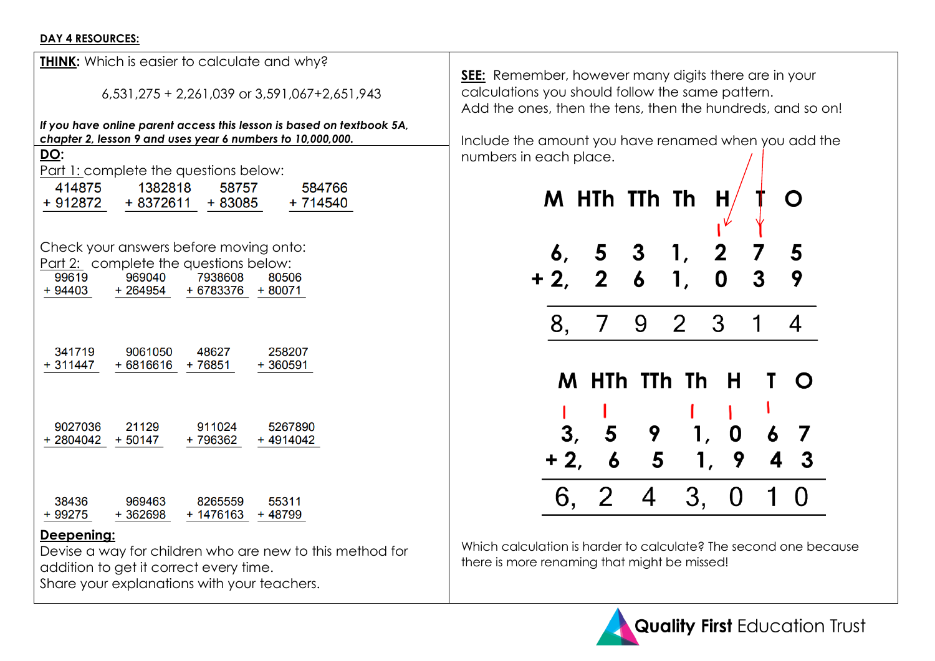#### **DAY 4 RESOURCES:**

|                 |                                                                                           |                                          | If you have online parent access this lesson is based on textbook 5A,<br>chapter 2, lesson 9 and uses year 6 numbers to 10,000,000. |
|-----------------|-------------------------------------------------------------------------------------------|------------------------------------------|-------------------------------------------------------------------------------------------------------------------------------------|
| DO:             | Part 1: complete the questions below:                                                     | 58757                                    | 584766                                                                                                                              |
| 414875          | 1382818                                                                                   |                                          | + 912872 + 8372611 + 83085 + 714540                                                                                                 |
| 99619<br>+94403 | Check your answers before moving onto:<br>Part 2: complete the questions below:<br>969040 | 7938608<br>$+264954$ $+6783376$ $+80071$ | 80506                                                                                                                               |
| 341719          | 9061050                                                                                   | 48627                                    | 258207                                                                                                                              |
| + 311447        | + 6816616                                                                                 | + 76851                                  | $+360591$                                                                                                                           |
|                 |                                                                                           |                                          |                                                                                                                                     |
| 9027036         | 21129                                                                                     | 911024                                   | 5267890                                                                                                                             |
|                 | + 2804042 + 50147                                                                         | + 796362                                 | +4914042                                                                                                                            |

## **Deepening:**

Devise a way for children who are new to this method for addition to get it correct every time. Share your explanations with your teachers.

**SEE:** Remember, however many digits there are in your calculations you should follow the same pattern. Add the ones, then the tens, then the hundreds, and so on!

Include the amount you have renamed when you add the numbers in each place.



Which calculation is harder to calculate? The second one because there is more renaming that might be missed!

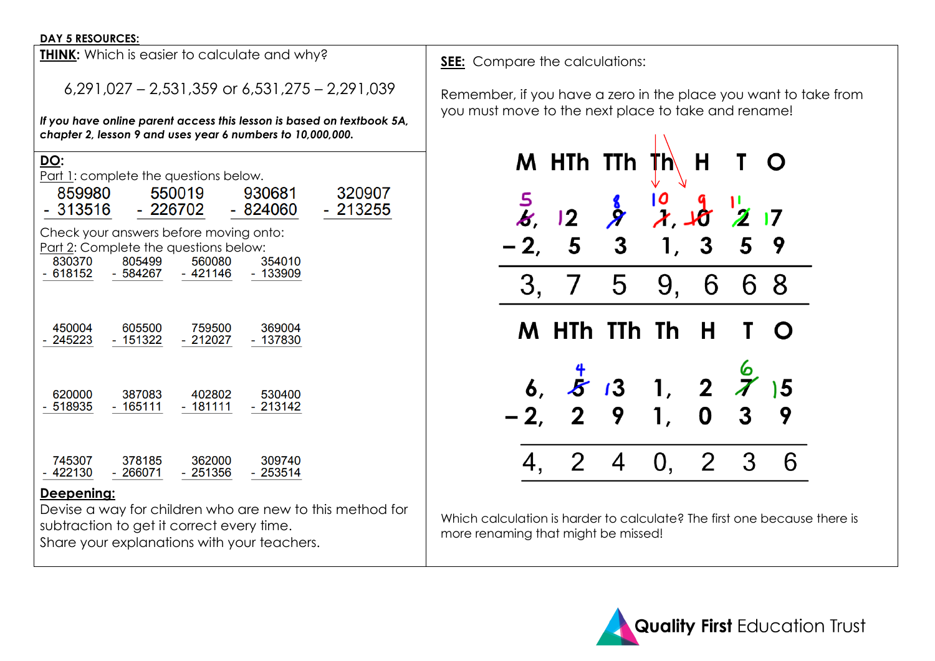#### **DAY 5 RESOURCES:**

| <b>THINK:</b> Which is easier to calculate and why?                                                                                                                      |                                                                                                                                     |                     |                     |  |  |  |  |
|--------------------------------------------------------------------------------------------------------------------------------------------------------------------------|-------------------------------------------------------------------------------------------------------------------------------------|---------------------|---------------------|--|--|--|--|
| $6,291,027 - 2,531,359$ or $6,531,275 - 2,291,039$                                                                                                                       |                                                                                                                                     |                     |                     |  |  |  |  |
|                                                                                                                                                                          | If you have online parent access this lesson is based on textbook 5A,<br>chapter 2, lesson 9 and uses year 6 numbers to 10,000,000. |                     |                     |  |  |  |  |
| DO:<br>Part 1: complete the questions below.<br>550019<br>859980<br>930681<br>320907<br>- 213255<br>- 313516<br>- 226702<br>- 824060                                     |                                                                                                                                     |                     |                     |  |  |  |  |
| Check your answers before moving onto:<br>Part 2: Complete the questions below:<br>830370<br>805499<br>560080<br>354010<br>- 618152<br>- 584267<br>- 421146<br>$-133909$ |                                                                                                                                     |                     |                     |  |  |  |  |
| 450004<br>605500<br>759500<br>369004<br>245223<br>- 151322<br>$-212027$<br>$-137830$                                                                                     |                                                                                                                                     |                     |                     |  |  |  |  |
| 620000<br>518935                                                                                                                                                         | 387083<br>- 165111                                                                                                                  | 402802<br>$-181111$ | 530400<br>$-213142$ |  |  |  |  |
| 745307<br>422130                                                                                                                                                         | 378185<br>$-266071$                                                                                                                 | 362000<br>$-251356$ | 309740<br>$-253514$ |  |  |  |  |
| Deepening:<br>Devise a way for children who are new to this method for                                                                                                   |                                                                                                                                     |                     |                     |  |  |  |  |

subtraction to get it correct every time. Share your explanations with your teachers. **SEE:** Compare the calculations:

Remember, if you have a zero in the place you want to take from you must move to the next place to take and rename!



Which calculation is harder to calculate? The first one because there is more renaming that might be missed!

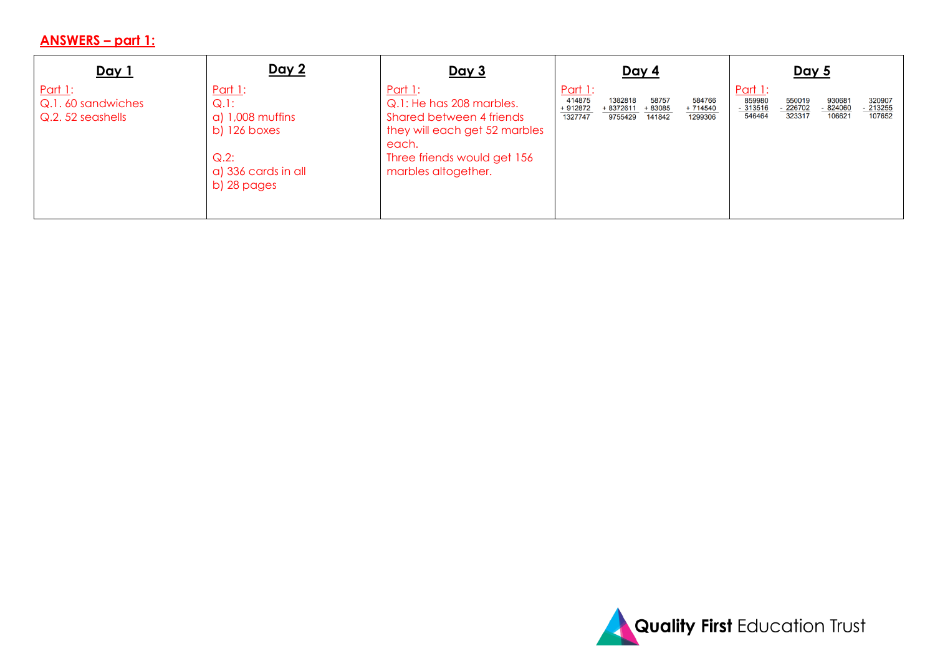## **ANSWERS – part 1 :**

| Day 1                                                   | <u>Day 2</u>                                                                                                       | <u>Day 3</u>                                                                                                                                                    | <u>Day 4</u>                                                                                                                                       | <u>Day 5</u>                                                                                                                                 |
|---------------------------------------------------------|--------------------------------------------------------------------------------------------------------------------|-----------------------------------------------------------------------------------------------------------------------------------------------------------------|----------------------------------------------------------------------------------------------------------------------------------------------------|----------------------------------------------------------------------------------------------------------------------------------------------|
| <u>Part 1:</u><br>Q.1.60 sandwiches<br>Q.2.52 seashells | <u>Part 1:</u><br>$Q.1$ :<br>$a)$ 1,008 muffins<br>$b)$ 126 boxes<br>$Q.2$ :<br>a) 336 cards in all<br>b) 28 pages | Part 1:<br>Q.1: He has 208 marbles.<br>Shared between 4 friends<br>they will each get 52 marbles<br>each.<br>Three friends would get 156<br>marbles altogether. | <u>Part 1:</u><br>414875<br>58757<br>584766<br>1382818<br>+ 912872<br>+ 8372611<br>+ 83085<br>$+714540$<br>1327747<br>9755429<br>1299306<br>141842 | <u>Part 1:</u><br>859980<br>320907<br>550019<br>930681<br>226702<br>213255<br>$-824060$<br>$-313516$<br>546464<br>323317<br>106621<br>107652 |